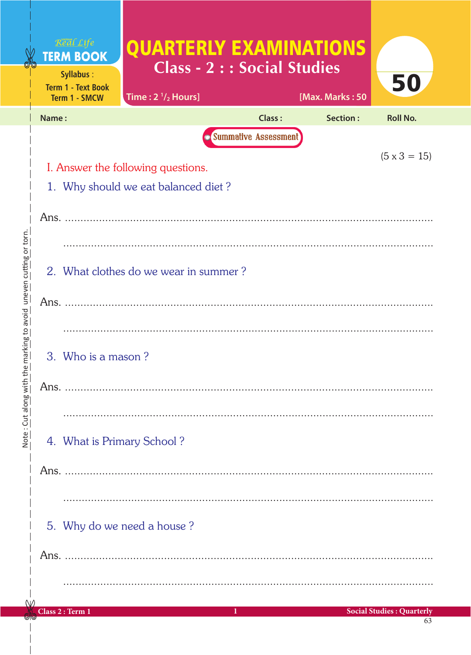|                                                |                                                                           | Real Life<br><b>TERM BOOK</b><br>Syllabus:<br><b>Term 1 - Text Book</b><br>Term 1 - SMCW | <b>QUARTERLY EXAMINATIONS</b><br>Class - 2 : : Social Studies<br>Time: $2 \frac{1}{2}$ Hours] |                             | [Max. Marks: 50 | 50                                     |  |  |  |  |  |
|------------------------------------------------|---------------------------------------------------------------------------|------------------------------------------------------------------------------------------|-----------------------------------------------------------------------------------------------|-----------------------------|-----------------|----------------------------------------|--|--|--|--|--|
|                                                | Name:                                                                     |                                                                                          |                                                                                               | Class:                      | Section:        | <b>Roll No.</b>                        |  |  |  |  |  |
|                                                |                                                                           |                                                                                          |                                                                                               | <b>Summative Assessment</b> |                 |                                        |  |  |  |  |  |
|                                                |                                                                           | $(5 \times 3 = 15)$                                                                      |                                                                                               |                             |                 |                                        |  |  |  |  |  |
|                                                | I. Answer the following questions.<br>1. Why should we eat balanced diet? |                                                                                          |                                                                                               |                             |                 |                                        |  |  |  |  |  |
|                                                |                                                                           |                                                                                          |                                                                                               |                             |                 |                                        |  |  |  |  |  |
|                                                |                                                                           |                                                                                          |                                                                                               |                             |                 |                                        |  |  |  |  |  |
|                                                |                                                                           |                                                                                          |                                                                                               |                             |                 |                                        |  |  |  |  |  |
| h the marking to avoid uneven cutting or torn. |                                                                           | 2. What clothes do we wear in summer?                                                    |                                                                                               |                             |                 |                                        |  |  |  |  |  |
|                                                |                                                                           |                                                                                          |                                                                                               |                             |                 |                                        |  |  |  |  |  |
|                                                |                                                                           |                                                                                          |                                                                                               |                             |                 |                                        |  |  |  |  |  |
|                                                |                                                                           |                                                                                          |                                                                                               |                             |                 |                                        |  |  |  |  |  |
|                                                |                                                                           | 3. Who is a mason?                                                                       |                                                                                               |                             |                 |                                        |  |  |  |  |  |
|                                                |                                                                           |                                                                                          |                                                                                               |                             |                 |                                        |  |  |  |  |  |
| Note: Cut along wit                            |                                                                           |                                                                                          |                                                                                               |                             |                 |                                        |  |  |  |  |  |
|                                                |                                                                           |                                                                                          |                                                                                               |                             |                 |                                        |  |  |  |  |  |
|                                                |                                                                           |                                                                                          | 4. What is Primary School?                                                                    |                             |                 |                                        |  |  |  |  |  |
|                                                |                                                                           |                                                                                          |                                                                                               |                             |                 |                                        |  |  |  |  |  |
|                                                |                                                                           |                                                                                          |                                                                                               |                             |                 |                                        |  |  |  |  |  |
|                                                |                                                                           |                                                                                          |                                                                                               |                             |                 |                                        |  |  |  |  |  |
|                                                |                                                                           |                                                                                          | 5. Why do we need a house?                                                                    |                             |                 |                                        |  |  |  |  |  |
|                                                |                                                                           |                                                                                          |                                                                                               |                             |                 |                                        |  |  |  |  |  |
|                                                |                                                                           |                                                                                          |                                                                                               |                             |                 |                                        |  |  |  |  |  |
|                                                |                                                                           |                                                                                          |                                                                                               |                             |                 |                                        |  |  |  |  |  |
|                                                |                                                                           | Class 2: Term 1                                                                          |                                                                                               | п                           |                 | <b>Social Studies: Quarterly</b><br>63 |  |  |  |  |  |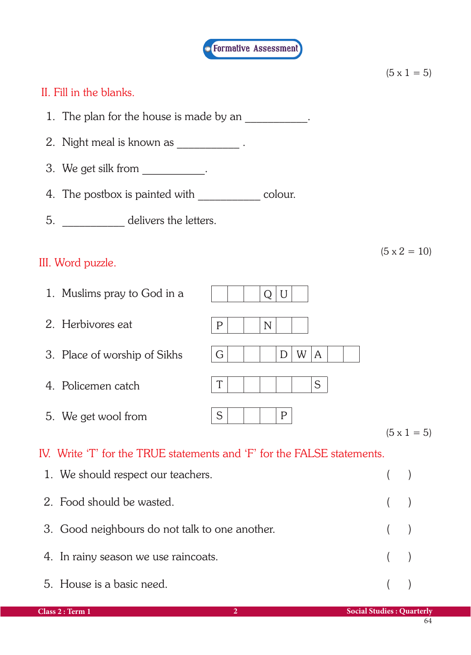

|                                                                         |             |             |              |   |   |  |  |  |  | $(5 \times 1 = 5)$  |  |
|-------------------------------------------------------------------------|-------------|-------------|--------------|---|---|--|--|--|--|---------------------|--|
| II. Fill in the blanks.                                                 |             |             |              |   |   |  |  |  |  |                     |  |
| 1. The plan for the house is made by an ___________.                    |             |             |              |   |   |  |  |  |  |                     |  |
| 2. Night meal is known as ___________.                                  |             |             |              |   |   |  |  |  |  |                     |  |
| 3. We get silk from ___________.                                        |             |             |              |   |   |  |  |  |  |                     |  |
| 4. The postbox is painted with _______________ colour.                  |             |             |              |   |   |  |  |  |  |                     |  |
| 5. _______________ delivers the letters.                                |             |             |              |   |   |  |  |  |  |                     |  |
| III. Word puzzle.                                                       |             |             |              |   |   |  |  |  |  | $(5 \times 2 = 10)$ |  |
| 1. Muslims pray to God in a                                             |             | Q           | U            |   |   |  |  |  |  |                     |  |
| 2. Herbivores eat                                                       | $\mathbf P$ | $\mathbb N$ |              |   |   |  |  |  |  |                     |  |
| 3. Place of worship of Sikhs                                            | G           |             | D            | W | A |  |  |  |  |                     |  |
| 4. Policemen catch                                                      | T           |             |              |   | S |  |  |  |  |                     |  |
| 5. We get wool from                                                     | S           |             | $\mathsf{P}$ |   |   |  |  |  |  | $(5 \times 1 = 5)$  |  |
| IV. Write 'T' for the TRUE statements and 'F' for the FALSE statements. |             |             |              |   |   |  |  |  |  |                     |  |
| 1. We should respect our teachers.                                      |             |             |              |   |   |  |  |  |  |                     |  |
| 2. Food should be wasted.                                               |             |             |              |   |   |  |  |  |  |                     |  |
| 3. Good neighbours do not talk to one another.                          |             |             |              |   |   |  |  |  |  |                     |  |

- 4. In rainy season we use raincoats. ( )
	- 5. House is a basic need. ( )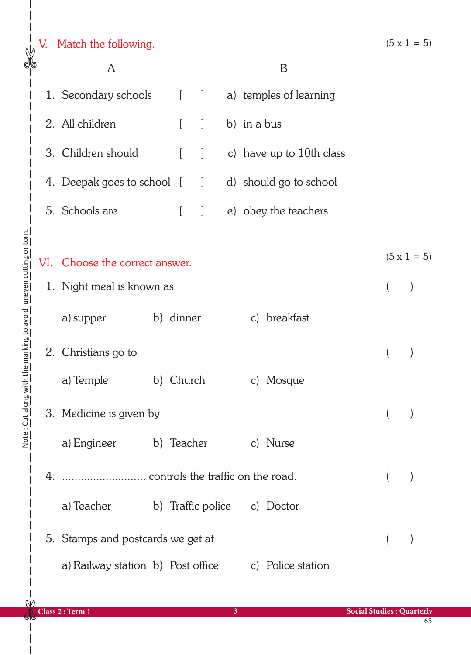|                                                   | V.  | Match the following.              |  |           |              |  |             |                             |  | $(5 \times 1 = 5)$ |
|---------------------------------------------------|-----|-----------------------------------|--|-----------|--------------|--|-------------|-----------------------------|--|--------------------|
| ৶ঢ়                                               | A   |                                   |  |           |              |  |             | B                           |  |                    |
|                                                   |     | 1. Secondary schools [            |  |           | $\vert$      |  |             | a) temples of learning      |  |                    |
|                                                   |     | 2. All children                   |  |           | $\mathbf{1}$ |  | b) in a bus |                             |  |                    |
|                                                   |     | 3. Children should                |  |           | 1            |  |             | c) have up to $10$ th class |  |                    |
|                                                   |     | 4. Deepak goes to school [        |  |           | $\mathbf{1}$ |  |             | d) should go to school      |  |                    |
|                                                   |     | 5. Schools are                    |  |           | $\big]$      |  |             | e) obey the teachers        |  |                    |
|                                                   |     |                                   |  |           |              |  |             |                             |  |                    |
|                                                   | VI. | Choose the correct answer.        |  |           |              |  |             |                             |  | $(5 \times 1 = 5)$ |
|                                                   |     | 1. Night meal is known as         |  |           |              |  |             |                             |  |                    |
| with the marking to avoid uneven cutting or torn. |     | a) supper                         |  | b) dinner |              |  |             | c) breakfast                |  |                    |
|                                                   | 2.  | Christians go to                  |  |           |              |  |             |                             |  |                    |
|                                                   |     | a) Temple                         |  | b) Church |              |  |             | c) Mosque                   |  |                    |
| Note: Cut along                                   |     | 3. Medicine is given by           |  |           |              |  |             |                             |  |                    |
|                                                   |     | a) Engineer b) Teacher            |  |           |              |  |             | c) Nurse                    |  |                    |
|                                                   |     |                                   |  |           |              |  |             |                             |  |                    |
|                                                   |     | a) Teacher                        |  |           |              |  |             | b) Traffic police c) Doctor |  |                    |
|                                                   |     | 5. Stamps and postcards we get at |  |           |              |  |             |                             |  |                    |
|                                                   |     | a) Railway station b) Post office |  |           |              |  |             | c) Police station           |  |                    |

65